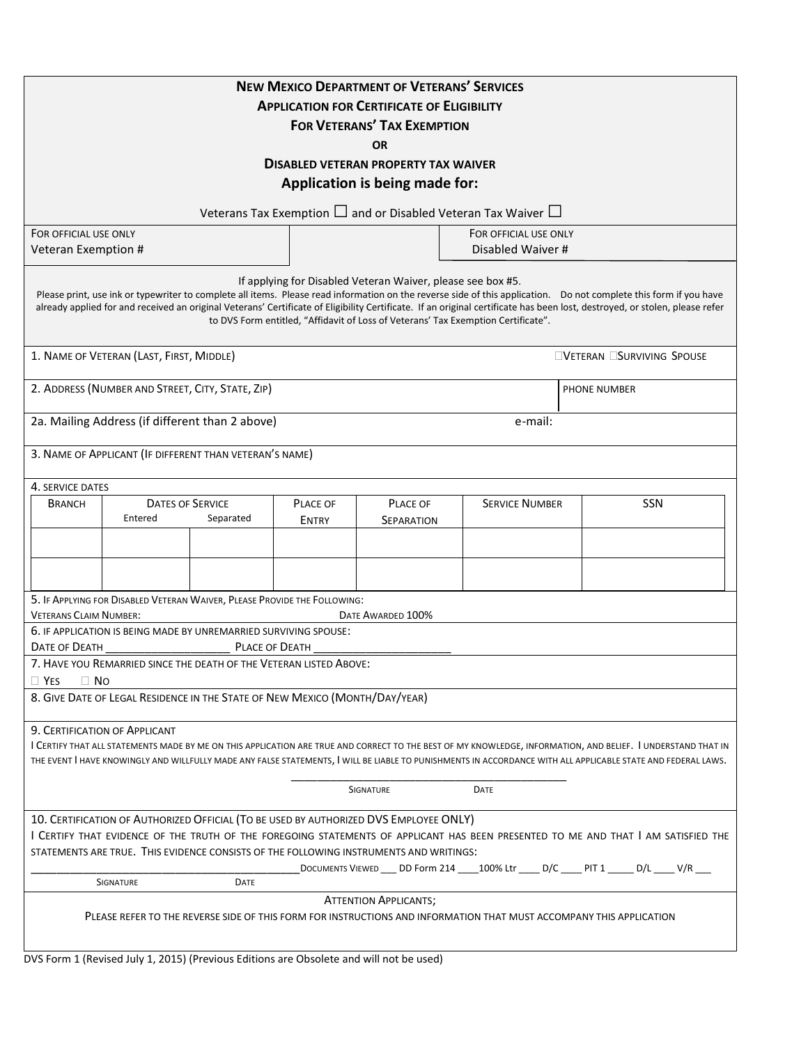| <b>NEW MEXICO DEPARTMENT OF VETERANS' SERVICES</b><br><b>APPLICATION FOR CERTIFICATE OF ELIGIBILITY</b><br><b>FOR VETERANS' TAX EXEMPTION</b>                                                                                                                                                                                                                                                                                                                                                        |              |                   |                       |                                                                                |  |
|------------------------------------------------------------------------------------------------------------------------------------------------------------------------------------------------------------------------------------------------------------------------------------------------------------------------------------------------------------------------------------------------------------------------------------------------------------------------------------------------------|--------------|-------------------|-----------------------|--------------------------------------------------------------------------------|--|
| OR                                                                                                                                                                                                                                                                                                                                                                                                                                                                                                   |              |                   |                       |                                                                                |  |
| <b>DISABLED VETERAN PROPERTY TAX WAIVER</b>                                                                                                                                                                                                                                                                                                                                                                                                                                                          |              |                   |                       |                                                                                |  |
| Application is being made for:                                                                                                                                                                                                                                                                                                                                                                                                                                                                       |              |                   |                       |                                                                                |  |
| Veterans Tax Exemption $\Box$ and or Disabled Veteran Tax Waiver $\Box$                                                                                                                                                                                                                                                                                                                                                                                                                              |              |                   |                       |                                                                                |  |
| FOR OFFICIAL USE ONLY                                                                                                                                                                                                                                                                                                                                                                                                                                                                                |              |                   | FOR OFFICIAL USE ONLY |                                                                                |  |
| Veteran Exemption #                                                                                                                                                                                                                                                                                                                                                                                                                                                                                  |              |                   |                       | Disabled Waiver #                                                              |  |
| If applying for Disabled Veteran Waiver, please see box #5.<br>Please print, use ink or typewriter to complete all items. Please read information on the reverse side of this application. Do not complete this form if you have<br>already applied for and received an original Veterans' Certificate of Eligibility Certificate. If an original certificate has been lost, destroyed, or stolen, please refer<br>to DVS Form entitled, "Affidavit of Loss of Veterans' Tax Exemption Certificate". |              |                   |                       |                                                                                |  |
| 1. NAME OF VETERAN (LAST, FIRST, MIDDLE)                                                                                                                                                                                                                                                                                                                                                                                                                                                             |              |                   |                       | <b>EVETERAN ESURVIVING SPOUSE</b>                                              |  |
| 2. ADDRESS (NUMBER AND STREET, CITY, STATE, ZIP)                                                                                                                                                                                                                                                                                                                                                                                                                                                     |              |                   |                       | <b>PHONE NUMBER</b>                                                            |  |
| 2a. Mailing Address (if different than 2 above)                                                                                                                                                                                                                                                                                                                                                                                                                                                      |              |                   | e-mail:               |                                                                                |  |
|                                                                                                                                                                                                                                                                                                                                                                                                                                                                                                      |              |                   |                       |                                                                                |  |
| 3. NAME OF APPLICANT (IF DIFFERENT THAN VETERAN'S NAME)                                                                                                                                                                                                                                                                                                                                                                                                                                              |              |                   |                       |                                                                                |  |
| 4. SERVICE DATES                                                                                                                                                                                                                                                                                                                                                                                                                                                                                     |              |                   |                       |                                                                                |  |
| <b>DATES OF SERVICE</b><br><b>BRANCH</b>                                                                                                                                                                                                                                                                                                                                                                                                                                                             | PLACE OF     | PLACE OF          | <b>SERVICE NUMBER</b> | <b>SSN</b>                                                                     |  |
| Entered<br>Separated                                                                                                                                                                                                                                                                                                                                                                                                                                                                                 | <b>ENTRY</b> | <b>SEPARATION</b> |                       |                                                                                |  |
|                                                                                                                                                                                                                                                                                                                                                                                                                                                                                                      |              |                   |                       |                                                                                |  |
|                                                                                                                                                                                                                                                                                                                                                                                                                                                                                                      |              |                   |                       |                                                                                |  |
|                                                                                                                                                                                                                                                                                                                                                                                                                                                                                                      |              |                   |                       |                                                                                |  |
| 5. IF APPLYING FOR DISABLED VETERAN WAIVER, PLEASE PROVIDE THE FOLLOWING:                                                                                                                                                                                                                                                                                                                                                                                                                            |              |                   |                       |                                                                                |  |
| <b>VETERANS CLAIM NUMBER:</b><br>DATE AWARDED 100%                                                                                                                                                                                                                                                                                                                                                                                                                                                   |              |                   |                       |                                                                                |  |
| 6. IF APPLICATION IS BEING MADE BY UNREMARRIED SURVIVING SPOUSE:                                                                                                                                                                                                                                                                                                                                                                                                                                     |              |                   |                       |                                                                                |  |
| DATE OF DEATH<br>PLACE OF DEATH                                                                                                                                                                                                                                                                                                                                                                                                                                                                      |              |                   |                       |                                                                                |  |
| 7. HAVE YOU REMARRIED SINCE THE DEATH OF THE VETERAN LISTED ABOVE:                                                                                                                                                                                                                                                                                                                                                                                                                                   |              |                   |                       |                                                                                |  |
| $\Box$ No<br>$\Box$ Yes<br>8. GIVE DATE OF LEGAL RESIDENCE IN THE STATE OF NEW MEXICO (MONTH/DAY/YEAR)                                                                                                                                                                                                                                                                                                                                                                                               |              |                   |                       |                                                                                |  |
|                                                                                                                                                                                                                                                                                                                                                                                                                                                                                                      |              |                   |                       |                                                                                |  |
| 9. CERTIFICATION OF APPLICANT<br>I CERTIFY THAT ALL STATEMENTS MADE BY ME ON THIS APPLICATION ARE TRUE AND CORRECT TO THE BEST OF MY KNOWLEDGE, INFORMATION, AND BELIEF. I UNDERSTAND THAT IN                                                                                                                                                                                                                                                                                                        |              |                   |                       |                                                                                |  |
| THE EVENT I HAVE KNOWINGLY AND WILLFULLY MADE ANY FALSE STATEMENTS, I WILL BE LIABLE TO PUNISHMENTS IN ACCORDANCE WITH ALL APPLICABLE STATE AND FEDERAL LAWS.                                                                                                                                                                                                                                                                                                                                        |              |                   |                       |                                                                                |  |
|                                                                                                                                                                                                                                                                                                                                                                                                                                                                                                      |              | SIGNATURE         | DATE                  |                                                                                |  |
| 10. CERTIFICATION OF AUTHORIZED OFFICIAL (TO BE USED BY AUTHORIZED DVS EMPLOYEE ONLY)                                                                                                                                                                                                                                                                                                                                                                                                                |              |                   |                       |                                                                                |  |
| I CERTIFY THAT EVIDENCE OF THE TRUTH OF THE FOREGOING STATEMENTS OF APPLICANT HAS BEEN PRESENTED TO ME AND THAT I AM SATISFIED THE                                                                                                                                                                                                                                                                                                                                                                   |              |                   |                       |                                                                                |  |
| STATEMENTS ARE TRUE. THIS EVIDENCE CONSISTS OF THE FOLLOWING INSTRUMENTS AND WRITINGS:                                                                                                                                                                                                                                                                                                                                                                                                               |              |                   |                       |                                                                                |  |
|                                                                                                                                                                                                                                                                                                                                                                                                                                                                                                      |              |                   |                       | DOCUMENTS VIEWED __ DD Form 214 __ 100% Ltr ___ D/C ___ PIT 1 ____ D/L ___ V/R |  |
| SIGNATURE<br>DATE                                                                                                                                                                                                                                                                                                                                                                                                                                                                                    |              |                   |                       |                                                                                |  |
| <b>ATTENTION APPLICANTS;</b><br>PLEASE REFER TO THE REVERSE SIDE OF THIS FORM FOR INSTRUCTIONS AND INFORMATION THAT MUST ACCOMPANY THIS APPLICATION                                                                                                                                                                                                                                                                                                                                                  |              |                   |                       |                                                                                |  |
| DVS Form 1 (Revised July 1, 2015) (Previous Editions are Obsolete and will not be used)                                                                                                                                                                                                                                                                                                                                                                                                              |              |                   |                       |                                                                                |  |